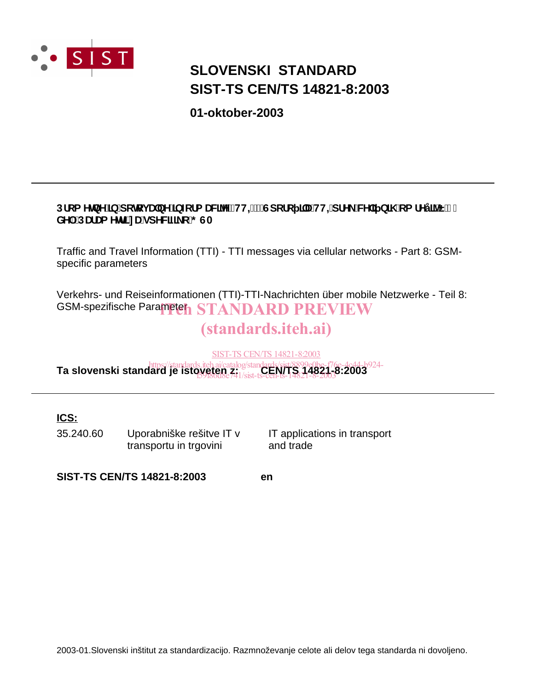

# **SIST-TS CEN/TS 14821-8:2003 SLOVENSKI STANDARD**

**01-oktober-2003**

## Dfca YlbY]b'dchcj UbY]bztfa UNYYfHHŁ!'Gdcfc ]'U'HH=dfY\_'WY] b]\ 'ca fYÿ]<sup>x'</sup>E', " XY. DUI Ua YH] nUgd YWZ c; GA

Traffic and Travel Information (TTI) - TTI messages via cellular networks - Part 8: GSMspecific parameters

Verkehrs- und Reiseinformationen (TTI)-TTI-Nachrichten über mobile Netzwerke - Teil 8: GSM-spezifische Parameten STANDARD PREVIEW

# (standards.iteh.ai)

SIST-TS CEN/TS 14821-8:2003

https://standards.iteh.ai/catalog/standards/sist/8899e0be-f76e-4c44-b924-<br>**Ta slovenski standard je istoveten z:** 1/sist **:CEN/TS 14821-8:2003** f59f86d8e741/sist-ts-cen-ts-14821-8-2003

### **ICS:**

35.240.60 Uporabniške rešitve IT v transportu in trgovini

IT applications in transport and trade

**SIST-TS CEN/TS 14821-8:2003 en**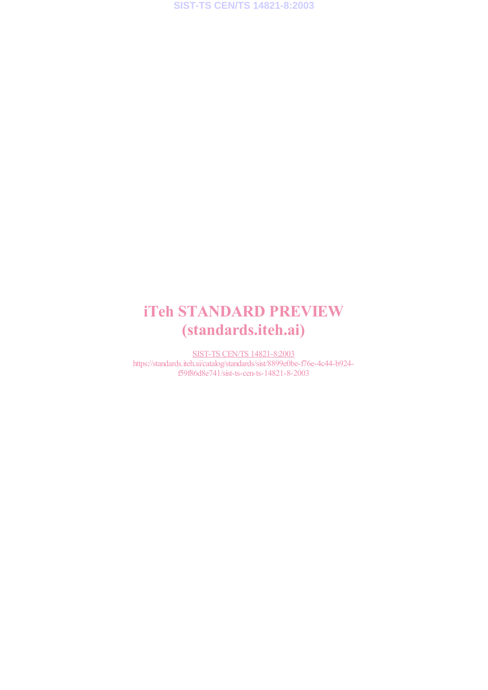# iTeh STANDARD PREVIEW (standards.iteh.ai)

SIST-TS CEN/TS 14821-8:2003 https://standards.iteh.ai/catalog/standards/sist/8899e0be-f76e-4c44-b924f59f86d8e741/sist-ts-cen-ts-14821-8-2003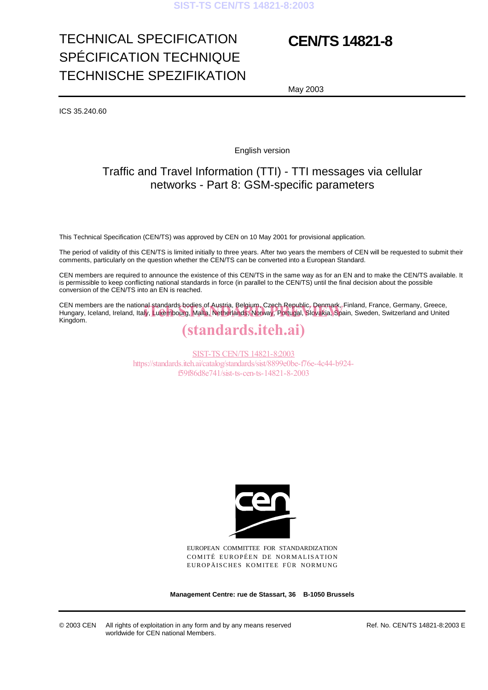# TECHNICAL SPECIFICATION SPÉCIFICATION TECHNIQUE TECHNISCHE SPEZIFIKATION

# **CEN/TS 14821-8**

May 2003

ICS 35.240.60

English version

## Traffic and Travel Information (TTI) - TTI messages via cellular networks - Part 8: GSM-specific parameters

This Technical Specification (CEN/TS) was approved by CEN on 10 May 2001 for provisional application.

The period of validity of this CEN/TS is limited initially to three years. After two years the members of CEN will be requested to submit their comments, particularly on the question whether the CEN/TS can be converted into a European Standard.

CEN members are required to announce the existence of this CEN/TS in the same way as for an EN and to make the CEN/TS available. It is permissible to keep conflicting national standards in force (in parallel to the CEN/TS) until the final decision about the possible conversion of the CEN/TS into an EN is reached.

CEN members are the national standards bodies of Austria, Belgium, Czech Republic, Denmark, Finland, France, Germany, Greece, CEN members are the national-standards-bodies of Austria, Belgium, Czech Republic, Denmark, Finland, France, Germany, Greece,<br>Hungary, Iceland, Ireland, Italy, Luxembourg, Malta, Netherlands, Norway, Portugal, Slovakia, Sp Kingdom.

## (standards.iteh.ai)

SIST-TS CEN/TS 14821-8:2003 https://standards.iteh.ai/catalog/standards/sist/8899e0be-f76e-4c44-b924 f59f86d8e741/sist-ts-cen-ts-14821-8-2003



EUROPEAN COMMITTEE FOR STANDARDIZATION COMITÉ EUROPÉEN DE NORMALISATION EUROPÄISCHES KOMITEE FÜR NORMUNG

**Management Centre: rue de Stassart, 36 B-1050 Brussels**

© 2003 CEN All rights of exploitation in any form and by any means reserved worldwide for CEN national Members.

Ref. No. CEN/TS 14821-8:2003 E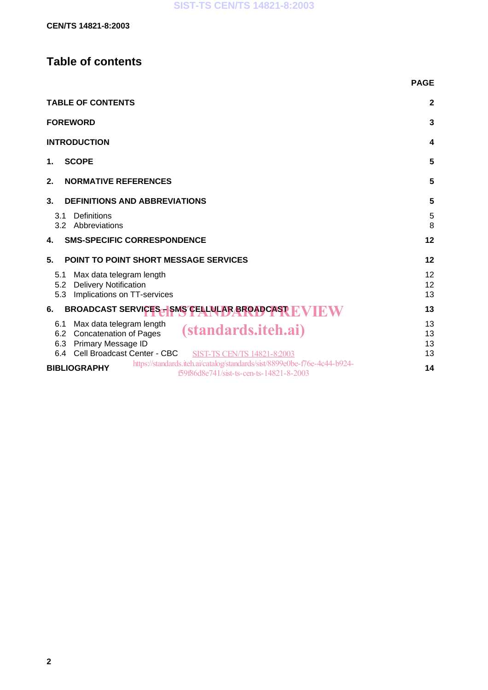## **Table of contents**

|                                                                                                                                                                                                      | <b>PAGE</b>          |
|------------------------------------------------------------------------------------------------------------------------------------------------------------------------------------------------------|----------------------|
| <b>TABLE OF CONTENTS</b>                                                                                                                                                                             | $\mathbf{2}$         |
| <b>FOREWORD</b>                                                                                                                                                                                      | 3                    |
| <b>INTRODUCTION</b>                                                                                                                                                                                  | 4                    |
| <b>SCOPE</b><br>1.                                                                                                                                                                                   | 5                    |
| <b>NORMATIVE REFERENCES</b><br>2.                                                                                                                                                                    | 5                    |
| 3.<br><b>DEFINITIONS AND ABBREVIATIONS</b>                                                                                                                                                           | 5                    |
| Definitions<br>3.1<br>3.2<br>Abbreviations                                                                                                                                                           | 5<br>8               |
| <b>SMS-SPECIFIC CORRESPONDENCE</b><br>4.                                                                                                                                                             | 12                   |
| 5.<br><b>POINT TO POINT SHORT MESSAGE SERVICES</b>                                                                                                                                                   | 12                   |
| Max data telegram length<br>5.1<br>5.2 Delivery Notification<br>Implications on TT-services<br>5.3                                                                                                   | 12<br>12<br>13       |
| BROADCAST SERVICES - SMS CELLULAR BROADCAST T<br>6.                                                                                                                                                  | 13                   |
| Max data telegram length<br>6.1<br><i>(standards.iteh.ai)</i><br>6.2 Concatenation of Pages<br>Primary Message ID<br>6.3<br>Cell Broadcast Center - CBC<br>6.4<br><b>SIST-TS CEN/TS 14821-8:2003</b> | 13<br>13<br>13<br>13 |
| https://standards.iteh.ai/catalog/standards/sist/8899e0be-f76e-4c44-b924-<br><b>BIBLIOGRAPHY</b><br>f59f86d8e741/sist-ts-cen-ts-14821-8-2003                                                         | 14                   |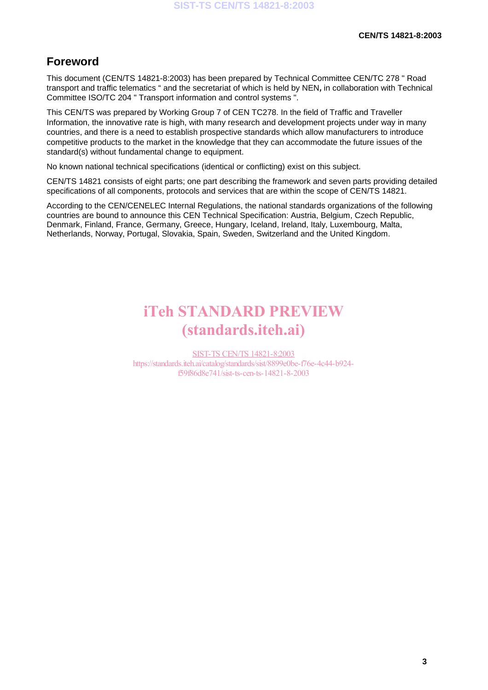## **Foreword**

This document (CEN/TS 14821-8:2003) has been prepared by Technical Committee CEN/TC 278 " Road transport and traffic telematics " and the secretariat of which is held by NEN**,** in collaboration with Technical Committee ISO/TC 204 " Transport information and control systems ".

This CEN/TS was prepared by Working Group 7 of CEN TC278. In the field of Traffic and Traveller Information, the innovative rate is high, with many research and development projects under way in many countries, and there is a need to establish prospective standards which allow manufacturers to introduce competitive products to the market in the knowledge that they can accommodate the future issues of the standard(s) without fundamental change to equipment.

No known national technical specifications (identical or conflicting) exist on this subject.

CEN/TS 14821 consists of eight parts; one part describing the framework and seven parts providing detailed specifications of all components, protocols and services that are within the scope of CEN/TS 14821.

According to the CEN/CENELEC Internal Regulations, the national standards organizations of the following countries are bound to announce this CEN Technical Specification: Austria, Belgium, Czech Republic, Denmark, Finland, France, Germany, Greece, Hungary, Iceland, Ireland, Italy, Luxembourg, Malta, Netherlands, Norway, Portugal, Slovakia, Spain, Sweden, Switzerland and the United Kingdom.

# iTeh STANDARD PREVIEW (standards.iteh.ai)

SIST-TS CEN/TS 14821-8:2003 https://standards.iteh.ai/catalog/standards/sist/8899e0be-f76e-4c44-b924 f59f86d8e741/sist-ts-cen-ts-14821-8-2003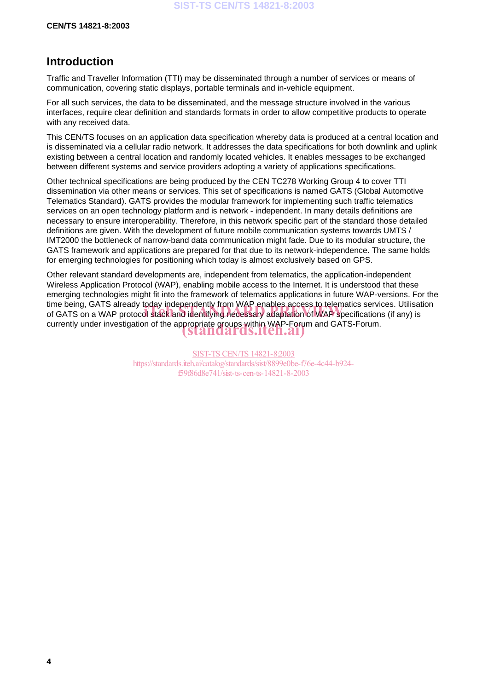## **Introduction**

Traffic and Traveller Information (TTI) may be disseminated through a number of services or means of communication, covering static displays, portable terminals and in-vehicle equipment.

For all such services, the data to be disseminated, and the message structure involved in the various interfaces, require clear definition and standards formats in order to allow competitive products to operate with any received data.

This CEN/TS focuses on an application data specification whereby data is produced at a central location and is disseminated via a cellular radio network. It addresses the data specifications for both downlink and uplink existing between a central location and randomly located vehicles. It enables messages to be exchanged between different systems and service providers adopting a variety of applications specifications.

Other technical specifications are being produced by the CEN TC278 Working Group 4 to cover TTI dissemination via other means or services. This set of specifications is named GATS (Global Automotive Telematics Standard). GATS provides the modular framework for implementing such traffic telematics services on an open technology platform and is network - independent. In many details definitions are necessary to ensure interoperability. Therefore, in this network specific part of the standard those detailed definitions are given. With the development of future mobile communication systems towards UMTS / IMT2000 the bottleneck of narrow-band data communication might fade. Due to its modular structure, the GATS framework and applications are prepared for that due to its network-independence. The same holds for emerging technologies for positioning which today is almost exclusively based on GPS.

Other relevant standard developments are, independent from telematics, the application-independent Wireless Application Protocol (WAP), enabling mobile access to the Internet. It is understood that these emerging technologies might fit into the framework of telematics applications in future WAP-versions. For the time being, GATS already today independently from WAP enables access to telematics services. Utilisation time being, GATS aiready today independently from via P enables access to telematics services. Utilisa<br>of GATS on a WAP protocol stack and identifying necessary adaptation of WAP specifications (if any) is currently under investigation of the appropriate groups within WAP-Forum and GATS-Forum. (standards.iteh.ai)

> SIST-TS CEN/TS 14821-8:2003 https://standards.iteh.ai/catalog/standards/sist/8899e0be-f76e-4c44-b924 f59f86d8e741/sist-ts-cen-ts-14821-8-2003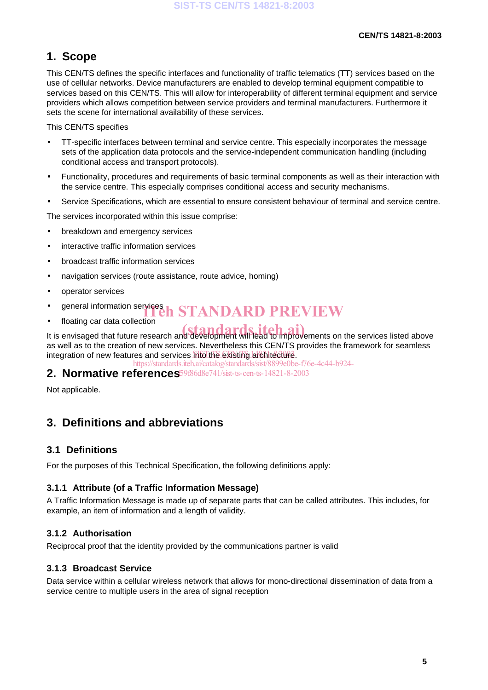## **1. Scope**

This CEN/TS defines the specific interfaces and functionality of traffic telematics (TT) services based on the use of cellular networks. Device manufacturers are enabled to develop terminal equipment compatible to services based on this CEN/TS. This will allow for interoperability of different terminal equipment and service providers which allows competition between service providers and terminal manufacturers. Furthermore it sets the scene for international availability of these services.

This CEN/TS specifies

- TT-specific interfaces between terminal and service centre. This especially incorporates the message sets of the application data protocols and the service-independent communication handling (including conditional access and transport protocols).
- Functionality, procedures and requirements of basic terminal components as well as their interaction with the service centre. This especially comprises conditional access and security mechanisms.
- Service Specifications, which are essential to ensure consistent behaviour of terminal and service centre.

The services incorporated within this issue comprise:

- breakdown and emergency services
- interactive traffic information services
- broadcast traffic information services
- navigation services (route assistance, route advice, homing)
- operator services
- general information services<br> **intervalsed information services**<br> **intervalsed in STANDARD PREVIEW**
- floating car data collection

It is envisaged that future research and development will lead to improvements on the services listed above as well as to the creation of new services. Nevertheless this CEN/TS provides the framework for seamless integration of new features and services info the existing architecture.

https://standards.iteh.ai/catalog/standards/sist/8899e0be-f76e-4c44-b924-

**2. Normative references** f59f86d8e741/sist-ts-cen-ts-14821-8-2003

Not applicable.

## **3. Definitions and abbreviations**

### **3.1 Definitions**

For the purposes of this Technical Specification, the following definitions apply:

### **3.1.1 Attribute (of a Traffic Information Message)**

A Traffic Information Message is made up of separate parts that can be called attributes. This includes, for example, an item of information and a length of validity.

### **3.1.2 Authorisation**

Reciprocal proof that the identity provided by the communications partner is valid

### **3.1.3 Broadcast Service**

Data service within a cellular wireless network that allows for mono-directional dissemination of data from a service centre to multiple users in the area of signal reception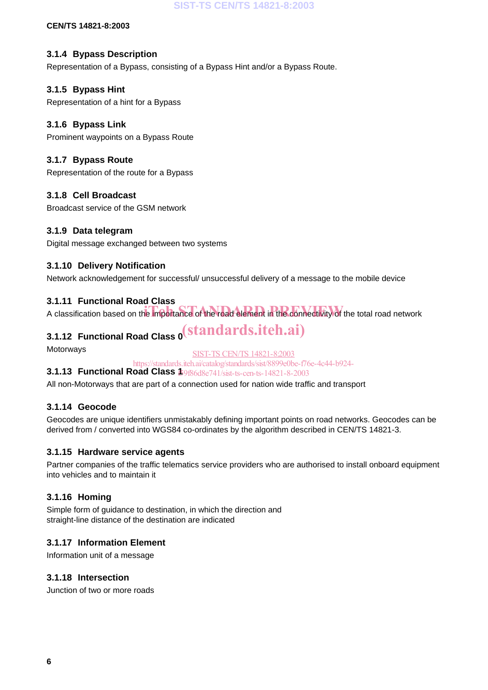**SIST-TS CEN/TS 14821-8:2003**

**CEN/TS 14821-8:2003**

### **3.1.4 Bypass Description**

Representation of a Bypass, consisting of a Bypass Hint and/or a Bypass Route.

### **3.1.5 Bypass Hint**

Representation of a hint for a Bypass

### **3.1.6 Bypass Link**

Prominent waypoints on a Bypass Route

### **3.1.7 Bypass Route**

Representation of the route for a Bypass

### **3.1.8 Cell Broadcast**

Broadcast service of the GSM network

### **3.1.9 Data telegram**

Digital message exchanged between two systems

### **3.1.10 Delivery Notification**

Network acknowledgement for successful/ unsuccessful delivery of a message to the mobile device

### **3.1.11 Functional Road Class**

A classification based on the importance of the road element in the connectivity of the total road network iTeh STANDARD PREVIEW

# **3.1.12 Functional Road Class 0** (standards.iteh.ai)

Motorways

SIST-TS CEN/TS 14821-8:2003

https://standards.iteh.ai/catalog/standards/sist/8899e0be-f76e-4c44-b924-

### **3.1.13 Functional Road Class**  $\frac{1}{15966d8e741/sist-ts-ceen-ts-14821-8-2003}$

All non-Motorways that are part of a connection used for nation wide traffic and transport

### **3.1.14 Geocode**

Geocodes are unique identifiers unmistakably defining important points on road networks. Geocodes can be derived from / converted into WGS84 co-ordinates by the algorithm described in CEN/TS 14821-3.

### **3.1.15 Hardware service agents**

Partner companies of the traffic telematics service providers who are authorised to install onboard equipment into vehicles and to maintain it

### **3.1.16 Homing**

Simple form of guidance to destination, in which the direction and straight-line distance of the destination are indicated

### **3.1.17 Information Element**

Information unit of a message

### **3.1.18 Intersection**

Junction of two or more roads